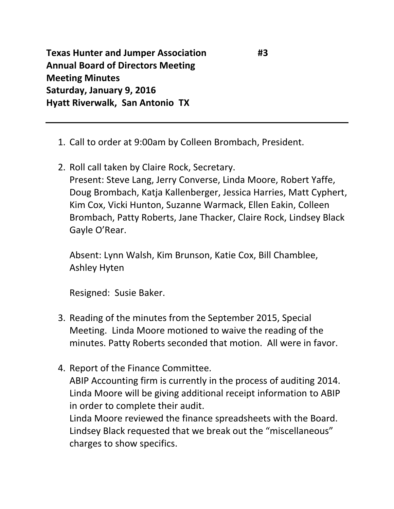**Texas Hunter and Jumper Association #3 Annual Board of Directors Meeting Meeting Minutes Saturday, January 9, 2016 Hyatt Riverwalk, San Antonio TX**

- 1. Call to order at 9:00am by Colleen Brombach, President.
- 2. Roll call taken by Claire Rock, Secretary. Present: Steve Lang, Jerry Converse, Linda Moore, Robert Yaffe, Doug Brombach, Katja Kallenberger, Jessica Harries, Matt Cyphert, Kim Cox, Vicki Hunton, Suzanne Warmack, Ellen Eakin, Colleen Brombach, Patty Roberts, Jane Thacker, Claire Rock, Lindsey Black Gayle O'Rear.

Absent: Lynn Walsh, Kim Brunson, Katie Cox, Bill Chamblee, Ashley Hyten

Resigned: Susie Baker.

- 3. Reading of the minutes from the September 2015, Special Meeting. Linda Moore motioned to waive the reading of the minutes. Patty Roberts seconded that motion. All were in favor.
- 4. Report of the Finance Committee. ABIP Accounting firm is currently in the process of auditing 2014. Linda Moore will be giving additional receipt information to ABIP in order to complete their audit. Linda Moore reviewed the finance spreadsheets with the Board.

Lindsey Black requested that we break out the "miscellaneous" charges to show specifics.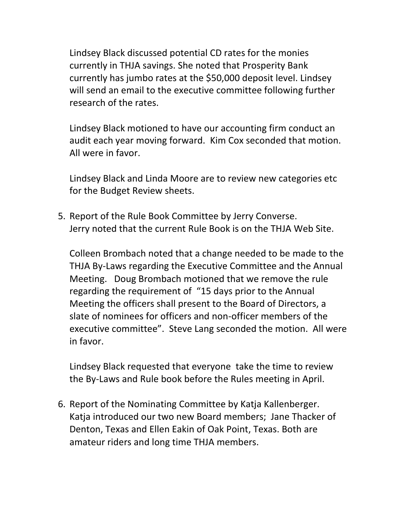Lindsey Black discussed potential CD rates for the monies currently in THJA savings. She noted that Prosperity Bank currently has jumbo rates at the \$50,000 deposit level. Lindsey will send an email to the executive committee following further research of the rates.

Lindsey Black motioned to have our accounting firm conduct an audit each year moving forward. Kim Cox seconded that motion. All were in favor.

Lindsey Black and Linda Moore are to review new categories etc for the Budget Review sheets.

5. Report of the Rule Book Committee by Jerry Converse. Jerry noted that the current Rule Book is on the THJA Web Site.

Colleen Brombach noted that a change needed to be made to the THJA By-Laws regarding the Executive Committee and the Annual Meeting. Doug Brombach motioned that we remove the rule regarding the requirement of "15 days prior to the Annual Meeting the officers shall present to the Board of Directors, a slate of nominees for officers and non-officer members of the executive committee". Steve Lang seconded the motion. All were in favor.

Lindsey Black requested that everyone take the time to review the By-Laws and Rule book before the Rules meeting in April.

6. Report of the Nominating Committee by Katja Kallenberger. Katja introduced our two new Board members; Jane Thacker of Denton, Texas and Ellen Eakin of Oak Point, Texas. Both are amateur riders and long time THJA members.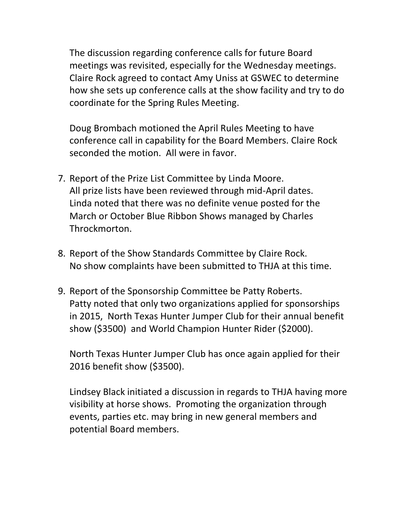The discussion regarding conference calls for future Board meetings was revisited, especially for the Wednesday meetings. Claire Rock agreed to contact Amy Uniss at GSWEC to determine how she sets up conference calls at the show facility and try to do coordinate for the Spring Rules Meeting.

Doug Brombach motioned the April Rules Meeting to have conference call in capability for the Board Members. Claire Rock seconded the motion. All were in favor.

- 7. Report of the Prize List Committee by Linda Moore. All prize lists have been reviewed through mid-April dates. Linda noted that there was no definite venue posted for the March or October Blue Ribbon Shows managed by Charles Throckmorton.
- 8. Report of the Show Standards Committee by Claire Rock. No show complaints have been submitted to THJA at this time.
- 9. Report of the Sponsorship Committee be Patty Roberts. Patty noted that only two organizations applied for sponsorships in 2015, North Texas Hunter Jumper Club for their annual benefit show (\$3500) and World Champion Hunter Rider (\$2000).

North Texas Hunter Jumper Club has once again applied for their 2016 benefit show (\$3500).

Lindsey Black initiated a discussion in regards to THJA having more visibility at horse shows. Promoting the organization through events, parties etc. may bring in new general members and potential Board members.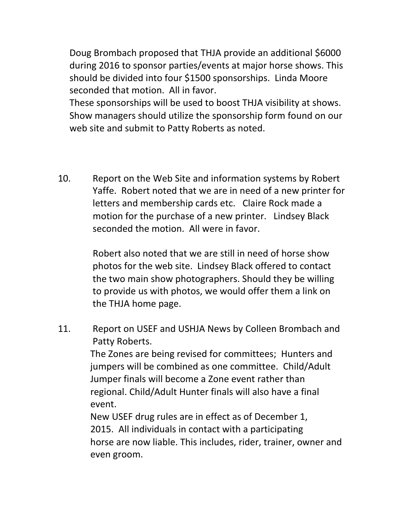Doug Brombach proposed that THJA provide an additional \$6000 during 2016 to sponsor parties/events at major horse shows. This should be divided into four \$1500 sponsorships. Linda Moore seconded that motion. All in favor.

These sponsorships will be used to boost THJA visibility at shows. Show managers should utilize the sponsorship form found on our web site and submit to Patty Roberts as noted.

10. Report on the Web Site and information systems by Robert Yaffe. Robert noted that we are in need of a new printer for letters and membership cards etc. Claire Rock made a motion for the purchase of a new printer. Lindsey Black seconded the motion. All were in favor.

> Robert also noted that we are still in need of horse show photos for the web site. Lindsey Black offered to contact the two main show photographers. Should they be willing to provide us with photos, we would offer them a link on the THJA home page.

11. Report on USEF and USHJA News by Colleen Brombach and Patty Roberts.

> The Zones are being revised for committees; Hunters and jumpers will be combined as one committee. Child/Adult Jumper finals will become a Zone event rather than regional. Child/Adult Hunter finals will also have a final event.

 New USEF drug rules are in effect as of December 1, 2015. All individuals in contact with a participating horse are now liable. This includes, rider, trainer, owner and even groom.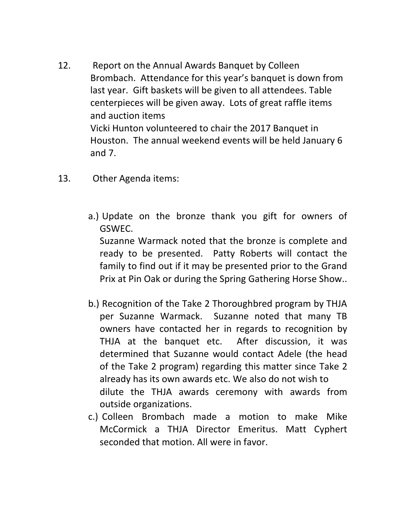- 12. Report on the Annual Awards Banquet by Colleen Brombach. Attendance for this year's banquet is down from last year. Gift baskets will be given to all attendees. Table centerpieces will be given away. Lots of great raffle items and auction items Vicki Hunton volunteered to chair the 2017 Banquet in Houston. The annual weekend events will be held January 6 and 7.
- 13. Other Agenda items:
	- a.) Update on the bronze thank you gift for owners of GSWEC. Suzanne Warmack noted that the bronze is complete and ready to be presented. Patty Roberts will contact the family to find out if it may be presented prior to the Grand Prix at Pin Oak or during the Spring Gathering Horse Show..
	- b.) Recognition of the Take 2 Thoroughbred program by THJA per Suzanne Warmack. Suzanne noted that many TB owners have contacted her in regards to recognition by THJA at the banquet etc. After discussion, it was determined that Suzanne would contact Adele (the head of the Take 2 program) regarding this matter since Take 2 already has its own awards etc. We also do not wish to dilute the THJA awards ceremony with awards from outside organizations.
	- c.) Colleen Brombach made a motion to make Mike McCormick a THJA Director Emeritus. Matt Cyphert seconded that motion. All were in favor.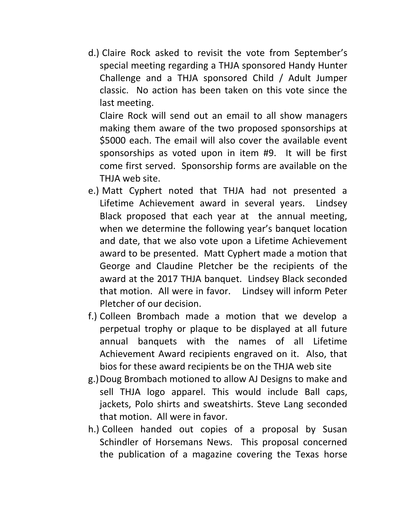d.) Claire Rock asked to revisit the vote from September's special meeting regarding a THJA sponsored Handy Hunter Challenge and a THJA sponsored Child / Adult Jumper classic. No action has been taken on this vote since the last meeting.

Claire Rock will send out an email to all show managers making them aware of the two proposed sponsorships at \$5000 each. The email will also cover the available event sponsorships as voted upon in item #9. It will be first come first served. Sponsorship forms are available on the THJA web site.

- e.) Matt Cyphert noted that THJA had not presented a Lifetime Achievement award in several years. Lindsey Black proposed that each year at the annual meeting, when we determine the following year's banquet location and date, that we also vote upon a Lifetime Achievement award to be presented. Matt Cyphert made a motion that George and Claudine Pletcher be the recipients of the award at the 2017 THJA banquet. Lindsey Black seconded that motion. All were in favor. Lindsey will inform Peter Pletcher of our decision.
- f.) Colleen Brombach made a motion that we develop a perpetual trophy or plaque to be displayed at all future annual banquets with the names of all Lifetime Achievement Award recipients engraved on it. Also, that bios for these award recipients be on the THJA web site
- g.)Doug Brombach motioned to allow AJ Designs to make and sell THJA logo apparel. This would include Ball caps, jackets, Polo shirts and sweatshirts. Steve Lang seconded that motion. All were in favor.
- h.) Colleen handed out copies of a proposal by Susan Schindler of Horsemans News. This proposal concerned the publication of a magazine covering the Texas horse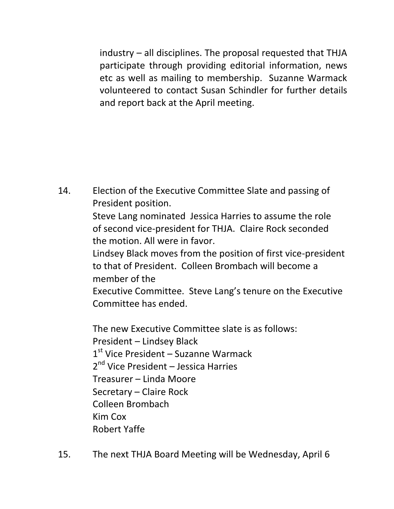industry – all disciplines. The proposal requested that THJA participate through providing editorial information, news etc as well as mailing to membership. Suzanne Warmack volunteered to contact Susan Schindler for further details and report back at the April meeting.

14. Election of the Executive Committee Slate and passing of President position. Steve Lang nominated Jessica Harries to assume the role of second vice-president for THJA. Claire Rock seconded the motion. All were in favor. Lindsey Black moves from the position of first vice-president to that of President. Colleen Brombach will become a member of the Executive Committee. Steve Lang's tenure on the Executive Committee has ended.

 The new Executive Committee slate is as follows: President – Lindsey Black 1<sup>st</sup> Vice President – Suzanne Warmack 2<sup>nd</sup> Vice President – Jessica Harries Treasurer – Linda Moore Secretary – Claire Rock Colleen Brombach Kim Cox Robert Yaffe

15. The next THJA Board Meeting will be Wednesday, April 6